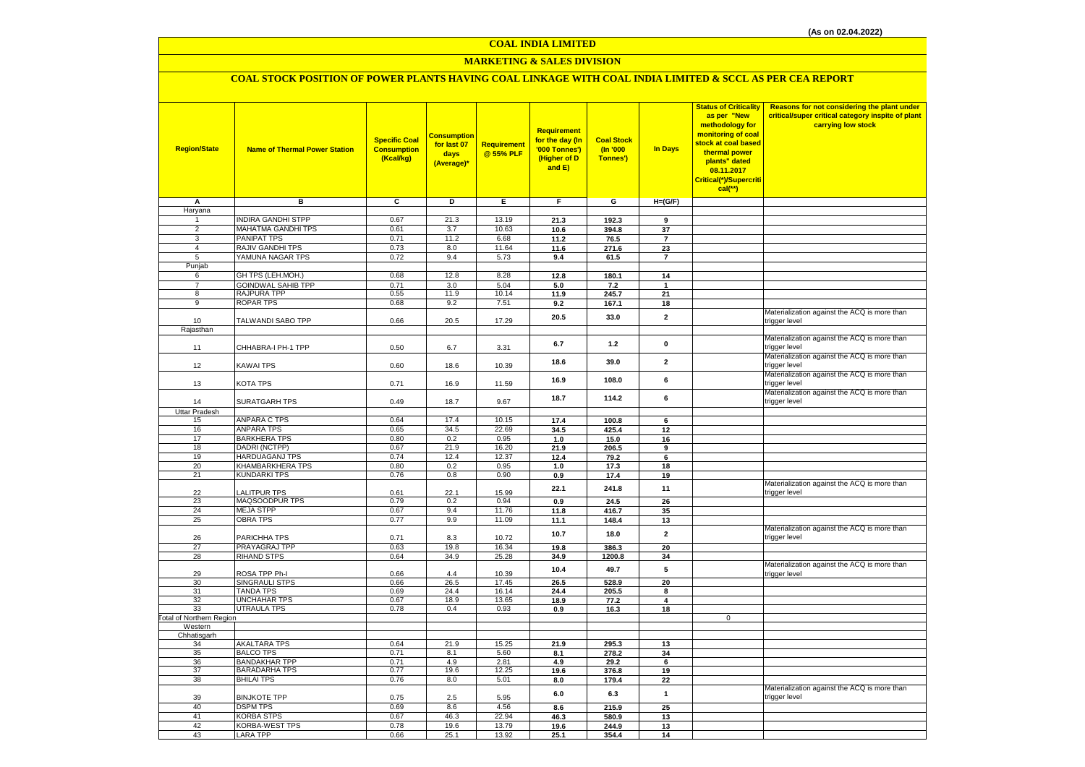# **MARKETING & SALES DIVISION**

# **COAL STOCK POSITION OF POWER PLANTS HAVING COAL LINKAGE WITH COAL INDIA LIMITED & SCCL AS PER CEA REPORT**

| <b>Region/State</b>      | <b>Name of Thermal Power Station</b>      | <b>Specific Coal</b><br><b>Consumption</b><br>(Kcal/kg) | Consumption<br>for last 07<br>days<br>(Average)* | Requirement<br>@ 55% PLF | Requirement<br>for the day (In<br>'000 Tonnes')<br>(Higher of D<br>and E) | <b>Coal Stock</b><br>(n'000)<br>Tonnes') | In Days        | <b>Status of Criticality</b><br>as per "New<br>methodology for<br>monitoring of coal<br>stock at coal based<br>thermal power<br>plants" dated<br>08.11.2017<br>Critical(*)/Supercriti<br>$cal$ (**) | Reasons for not considering the plant under<br>critical/super critical category inspite of plant<br>carrying low stock |
|--------------------------|-------------------------------------------|---------------------------------------------------------|--------------------------------------------------|--------------------------|---------------------------------------------------------------------------|------------------------------------------|----------------|-----------------------------------------------------------------------------------------------------------------------------------------------------------------------------------------------------|------------------------------------------------------------------------------------------------------------------------|
| Α                        | в                                         | c                                                       | D                                                | Е                        | F.                                                                        | G                                        | $H=(G/F)$      |                                                                                                                                                                                                     |                                                                                                                        |
| Haryana                  |                                           |                                                         |                                                  |                          |                                                                           |                                          |                |                                                                                                                                                                                                     |                                                                                                                        |
| 1                        | <b>INDIRA GANDHI STPP</b>                 | 0.67                                                    | 21.3                                             | 13.19                    | 21.3                                                                      | 192.3                                    | 9              |                                                                                                                                                                                                     |                                                                                                                        |
| $\overline{2}$           | MAHATMA GANDHI TPS                        | 0.61                                                    | 3.7                                              | 10.63                    | 10.6                                                                      | 394.8                                    | 37             |                                                                                                                                                                                                     |                                                                                                                        |
| $\overline{3}$           | PANIPAT TPS                               | 0.71                                                    | 11.2                                             | 6.68                     | 11.2                                                                      | 76.5                                     | $\overline{7}$ |                                                                                                                                                                                                     |                                                                                                                        |
| $\overline{4}$           | RAJIV GANDHI TPS                          | 0.73                                                    | 8.0                                              | 11.64                    | 11.6                                                                      | 271.6                                    | 23             |                                                                                                                                                                                                     |                                                                                                                        |
| 5                        | YAMUNA NAGAR TPS                          | 0.72                                                    | 9.4                                              | 5.73                     | 9.4                                                                       | 61.5                                     | $\overline{7}$ |                                                                                                                                                                                                     |                                                                                                                        |
| Punjab<br>6              | GH TPS (LEH.MOH.)                         | 0.68                                                    | 12.8                                             | 8.28                     | 12.8                                                                      | 180.1                                    | 14             |                                                                                                                                                                                                     |                                                                                                                        |
| $\overline{7}$           | <b>GOINDWAL SAHIB TPP</b>                 | 0.71                                                    | 3.0                                              | 5.04                     | 5.0                                                                       | 7.2                                      | $\mathbf{1}$   |                                                                                                                                                                                                     |                                                                                                                        |
| 8                        | RAJPURA TPP                               | 0.55                                                    | 11.9                                             | 10.14                    | 11.9                                                                      | 245.7                                    | ${\bf 21}$     |                                                                                                                                                                                                     |                                                                                                                        |
| $\overline{9}$           | <b>ROPAR TPS</b>                          | 0.68                                                    | 9.2                                              | 7.51                     | 9.2                                                                       | 167.1                                    | 18             |                                                                                                                                                                                                     |                                                                                                                        |
|                          |                                           |                                                         |                                                  |                          |                                                                           |                                          |                |                                                                                                                                                                                                     | Materialization against the ACQ is more than                                                                           |
| 10                       | TALWANDI SABO TPP                         | 0.66                                                    | 20.5                                             | 17.29                    | 20.5                                                                      | 33.0                                     | $\mathbf{2}$   |                                                                                                                                                                                                     | trigger level                                                                                                          |
| Rajasthan                |                                           |                                                         |                                                  |                          |                                                                           |                                          |                |                                                                                                                                                                                                     |                                                                                                                        |
|                          |                                           |                                                         |                                                  |                          | 6.7                                                                       | 1.2                                      | $\mathbf 0$    |                                                                                                                                                                                                     | Materialization against the ACQ is more than                                                                           |
| 11                       | CHHABRA-I PH-1 TPP                        | 0.50                                                    | 6.7                                              | 3.31                     |                                                                           |                                          |                |                                                                                                                                                                                                     | trigger level                                                                                                          |
|                          |                                           |                                                         |                                                  |                          | 18.6                                                                      | 39.0                                     | $\overline{2}$ |                                                                                                                                                                                                     | Materialization against the ACQ is more than                                                                           |
| 12                       | KAWAI TPS                                 | 0.60                                                    | 18.6                                             | 10.39                    |                                                                           |                                          |                |                                                                                                                                                                                                     | trigger level                                                                                                          |
|                          |                                           |                                                         |                                                  |                          | 16.9                                                                      | 108.0                                    | 6              |                                                                                                                                                                                                     | Materialization against the ACQ is more than<br>trigger level                                                          |
| 13                       | KOTA TPS                                  | 0.71                                                    | 16.9                                             | 11.59                    |                                                                           |                                          |                |                                                                                                                                                                                                     | Materialization against the ACQ is more than                                                                           |
| 14                       | <b>SURATGARH TPS</b>                      | 0.49                                                    | 18.7                                             | 9.67                     | 18.7                                                                      | 114.2                                    | 6              |                                                                                                                                                                                                     | trigger level                                                                                                          |
| <b>Uttar Pradesh</b>     |                                           |                                                         |                                                  |                          |                                                                           |                                          |                |                                                                                                                                                                                                     |                                                                                                                        |
| 15                       | <b>ANPARA C TPS</b>                       | 0.64                                                    | 17.4                                             | 10.15                    | 17.4                                                                      | 100.8                                    | 6              |                                                                                                                                                                                                     |                                                                                                                        |
| 16                       | <b>ANPARA TPS</b>                         | 0.65                                                    | 34.5                                             | 22.69                    | 34.5                                                                      | 425.4                                    | 12             |                                                                                                                                                                                                     |                                                                                                                        |
| 17                       | <b>BARKHERA TPS</b>                       | 0.80                                                    | 0.2                                              | 0.95                     | 1.0                                                                       | 15.0                                     | 16             |                                                                                                                                                                                                     |                                                                                                                        |
| 18                       | DADRI (NCTPP)                             | 0.67                                                    | 21.9                                             | 16.20                    | 21.9                                                                      | 206.5                                    | 9              |                                                                                                                                                                                                     |                                                                                                                        |
| 19                       | HARDUAGANJ TPS                            | 0.74                                                    | 12.4                                             | 12.37                    | 12.4                                                                      | 79.2                                     | 6              |                                                                                                                                                                                                     |                                                                                                                        |
| 20                       | KHAMBARKHERA TPS                          | 0.80                                                    | 0.2                                              | 0.95                     | 1.0                                                                       | 17.3                                     | 18             |                                                                                                                                                                                                     |                                                                                                                        |
| 21                       | <b>KUNDARKI TPS</b>                       | 0.76                                                    | 0.8                                              | 0.90                     | 0.9                                                                       | 17.4                                     | 19             |                                                                                                                                                                                                     |                                                                                                                        |
|                          |                                           |                                                         |                                                  |                          | 22.1                                                                      | 241.8                                    | 11             |                                                                                                                                                                                                     | Materialization against the ACQ is more than                                                                           |
| 22<br>23                 | <b>ALITPUR TPS</b><br>MAQSOODPUR TPS      | 0.61<br>0.79                                            | 22.1<br>0.2                                      | 15.99<br>0.94            |                                                                           |                                          |                |                                                                                                                                                                                                     | trigger level                                                                                                          |
| 24                       | <b>MEJA STPP</b>                          | 0.67                                                    | 9.4                                              | 11.76                    | 0.9<br>11.8                                                               | 24.5<br>416.7                            | 26<br>35       |                                                                                                                                                                                                     |                                                                                                                        |
| 25                       | <b>OBRA TPS</b>                           | 0.77                                                    | 9.9                                              | 11.09                    | 11.1                                                                      | 148.4                                    | 13             |                                                                                                                                                                                                     |                                                                                                                        |
|                          |                                           |                                                         |                                                  |                          |                                                                           |                                          |                |                                                                                                                                                                                                     | Materialization against the ACQ is more than                                                                           |
| 26                       | PARICHHA TPS                              | 0.71                                                    | 8.3                                              | 10.72                    | 10.7                                                                      | 18.0                                     | $\mathbf{2}$   |                                                                                                                                                                                                     | trigger level                                                                                                          |
| 27                       | PRAYAGRAJ TPP                             | 0.63                                                    | 19.8                                             | 16.34                    | 19.8                                                                      | 386.3                                    | 20             |                                                                                                                                                                                                     |                                                                                                                        |
| 28                       | <b>RIHAND STPS</b>                        | 0.64                                                    | 34.9                                             | 25.28                    | 34.9                                                                      | 1200.8                                   | 34             |                                                                                                                                                                                                     |                                                                                                                        |
|                          |                                           |                                                         |                                                  |                          | 10.4                                                                      | 49.7                                     | 5              |                                                                                                                                                                                                     | Materialization against the ACQ is more than                                                                           |
| 29                       | ROSA TPP Ph-I                             | 0.66                                                    | 4.4                                              | 10.39                    |                                                                           |                                          |                |                                                                                                                                                                                                     | trigger level                                                                                                          |
| 30                       | SINGRAULI STPS                            | 0.66                                                    | 26.5                                             | 17.45                    | 26.5                                                                      | 528.9                                    | 20             |                                                                                                                                                                                                     |                                                                                                                        |
| 31<br>32                 | <b>TANDA TPS</b><br>UNCHAHAR TPS          | 0.69<br>0.67                                            | 24.4<br>18.9                                     | 16.14<br>13.65           | 24.4<br>18.9                                                              | 205.5<br>77.2                            | 8<br>4         |                                                                                                                                                                                                     |                                                                                                                        |
| 33                       | <b>UTRAULA TPS</b>                        | 0.78                                                    | 0.4                                              | 0.93                     | 0.9                                                                       | 16.3                                     | 18             |                                                                                                                                                                                                     |                                                                                                                        |
| Total of Northern Region |                                           |                                                         |                                                  |                          |                                                                           |                                          |                | $\mathbf 0$                                                                                                                                                                                         |                                                                                                                        |
| Western                  |                                           |                                                         |                                                  |                          |                                                                           |                                          |                |                                                                                                                                                                                                     |                                                                                                                        |
| Chhatisgarh              |                                           |                                                         |                                                  |                          |                                                                           |                                          |                |                                                                                                                                                                                                     |                                                                                                                        |
| 34                       | <b>AKALTARA TPS</b>                       | 0.64                                                    | 21.9                                             | 15.25                    | 21.9                                                                      | 295.3                                    | 13             |                                                                                                                                                                                                     |                                                                                                                        |
| 35                       | <b>BALCO TPS</b>                          | 0.71                                                    | 8.1                                              | 5.60                     | 8.1                                                                       | 278.2                                    | 34             |                                                                                                                                                                                                     |                                                                                                                        |
| 36                       | <b>BANDAKHAR TPP</b>                      | 0.71                                                    | 4.9                                              | 2.81                     | 4.9                                                                       | 29.2                                     | 6              |                                                                                                                                                                                                     |                                                                                                                        |
| 37<br>38                 | <b>BARADARHA TPS</b><br><b>BHILAI TPS</b> | 0.77<br>0.76                                            | 19.6<br>8.0                                      | 12.25                    | 19.6                                                                      | 376.8                                    | 19             |                                                                                                                                                                                                     |                                                                                                                        |
|                          |                                           |                                                         |                                                  | 5.01                     | 8.0                                                                       | 179.4                                    | 22             |                                                                                                                                                                                                     | Materialization against the ACQ is more than                                                                           |
| 39                       | <b>BINJKOTE TPP</b>                       | 0.75                                                    | 2.5                                              | 5.95                     | 6.0                                                                       | 6.3                                      | $\mathbf{1}$   |                                                                                                                                                                                                     | trigger level                                                                                                          |
| 40                       | <b>DSPM TPS</b>                           | 0.69                                                    | 8.6                                              | 4.56                     | 8.6                                                                       | 215.9                                    | 25             |                                                                                                                                                                                                     |                                                                                                                        |
| 41                       | <b>KORBA STPS</b>                         | 0.67                                                    | 46.3                                             | 22.94                    | 46.3                                                                      | 580.9                                    | 13             |                                                                                                                                                                                                     |                                                                                                                        |
| 42                       | KORBA-WEST TPS                            | 0.78                                                    | 19.6                                             | 13.79                    | 19.6                                                                      | 244.9                                    | 13             |                                                                                                                                                                                                     |                                                                                                                        |
| 43                       | LARA TPP                                  | 0.66                                                    | 25.1                                             | 13.92                    | 25.1                                                                      | 354.4                                    | 14             |                                                                                                                                                                                                     |                                                                                                                        |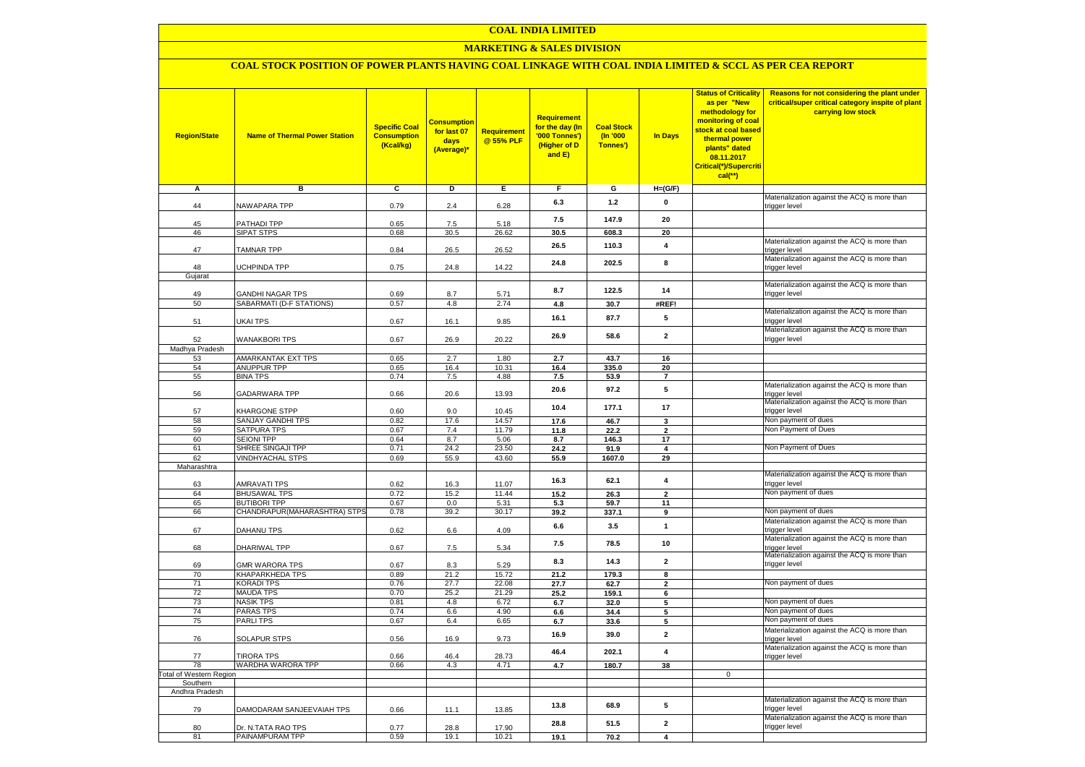### **MARKETING & SALES DIVISION**

### **COAL STOCK POSITION OF POWER PLANTS HAVING COAL LINKAGE WITH COAL INDIA LIMITED & SCCL AS PER CEA REPORT**

| <b>Region/State</b>    | <b>Name of Thermal Power Station</b>     | <b>Specific Coal</b><br><b>Consumption</b><br>(Kcal/kg) | <mark>Consumption</mark><br>for last 07<br>days<br>(Average)* | <b>Requirement</b><br>@ 55% PLF | <b>Requirement</b><br>for the day (In<br>'000 Tonnes')<br>(Higher of D<br>and E) | <b>Coal Stock</b><br>(In '000<br>Tonnes') | <b>In Days</b>          | <b>Status of Criticality</b><br>as per "New<br>methodology for<br>monitoring of coal<br>stock at coal based<br>thermal power<br>plants" dated<br>08.11.2017<br>Critical(*)/Supercriti<br>$cal$ (**) | Reasons for not considering the plant under<br>critical/super critical category inspite of plant<br>carrying low stock |
|------------------------|------------------------------------------|---------------------------------------------------------|---------------------------------------------------------------|---------------------------------|----------------------------------------------------------------------------------|-------------------------------------------|-------------------------|-----------------------------------------------------------------------------------------------------------------------------------------------------------------------------------------------------|------------------------------------------------------------------------------------------------------------------------|
| Α                      | в                                        | c                                                       | Þ                                                             | Е                               | F                                                                                | G                                         | $H=(G/F)$               |                                                                                                                                                                                                     |                                                                                                                        |
|                        | <b>NAWAPARA TPP</b>                      | 0.79                                                    |                                                               | 6.28                            | 6.3                                                                              | $1.2$                                     | 0                       |                                                                                                                                                                                                     | Materialization against the ACQ is more than                                                                           |
| 44                     |                                          |                                                         | 2.4                                                           |                                 |                                                                                  |                                           |                         |                                                                                                                                                                                                     | trigger level                                                                                                          |
| 45                     | <b>PATHADI TPP</b>                       | 0.65                                                    | 7.5                                                           | 5.18                            | 7.5                                                                              | 147.9                                     | 20                      |                                                                                                                                                                                                     |                                                                                                                        |
| 46                     | SIPAT STPS                               | 0.68                                                    | 30.5                                                          | 26.62                           | 30.5                                                                             | 608.3                                     | 20                      |                                                                                                                                                                                                     |                                                                                                                        |
| 47                     | <b>TAMNAR TPP</b>                        | 0.84                                                    | 26.5                                                          | 26.52                           | 26.5                                                                             | 110.3                                     | 4                       |                                                                                                                                                                                                     | Materialization against the ACQ is more than<br>trigger level                                                          |
|                        |                                          |                                                         |                                                               |                                 | 24.8                                                                             | 202.5                                     | 8                       |                                                                                                                                                                                                     | Materialization against the ACQ is more than                                                                           |
| 48<br>Gujarat          | <b>JCHPINDA TPP</b>                      | 0.75                                                    | 24.8                                                          | 14.22                           |                                                                                  |                                           |                         |                                                                                                                                                                                                     | trigger level                                                                                                          |
|                        |                                          |                                                         |                                                               |                                 |                                                                                  |                                           |                         |                                                                                                                                                                                                     | Materialization against the ACQ is more than                                                                           |
| 49                     | <b>GANDHI NAGAR TPS</b>                  | 0.69                                                    | 8.7                                                           | 5.71                            | 8.7                                                                              | 122.5                                     | 14                      |                                                                                                                                                                                                     | trigger level                                                                                                          |
| 50                     | SABARMATI (D-F STATIONS)                 | 0.57                                                    | 4.8                                                           | 2.74                            | 4.8                                                                              | 30.7                                      | #REF!                   |                                                                                                                                                                                                     |                                                                                                                        |
| 51                     | UKAI TPS                                 | 0.67                                                    | 16.1                                                          | 9.85                            | 16.1                                                                             | 87.7                                      | 5                       |                                                                                                                                                                                                     | Materialization against the ACQ is more than<br>trigger level                                                          |
| 52                     | <b>WANAKBORI TPS</b>                     | 0.67                                                    | 26.9                                                          | 20.22                           | 26.9                                                                             | 58.6                                      | $\mathbf{2}$            |                                                                                                                                                                                                     | Materialization against the ACQ is more than<br>trigger level                                                          |
| Madhya Pradesh         |                                          |                                                         |                                                               |                                 |                                                                                  |                                           |                         |                                                                                                                                                                                                     |                                                                                                                        |
| 53<br>54               | AMARKANTAK EXT TPS<br><b>ANUPPUR TPP</b> | 0.65<br>0.65                                            | 2.7<br>16.4                                                   | 1.80<br>10.31                   | 2.7<br>16.4                                                                      | 43.7<br>335.0                             | 16<br>20                |                                                                                                                                                                                                     |                                                                                                                        |
| 55                     | <b>BINA TPS</b>                          | 0.74                                                    | 7.5                                                           | 4.88                            | 7.5                                                                              | 53.9                                      | $\overline{7}$          |                                                                                                                                                                                                     |                                                                                                                        |
|                        |                                          |                                                         |                                                               |                                 | 20.6                                                                             | 97.2                                      | 5                       |                                                                                                                                                                                                     | Materialization against the ACQ is more than                                                                           |
| 56                     | GADARWARA TPP                            | 0.66                                                    | 20.6                                                          | 13.93                           | 10.4                                                                             | 177.1                                     | 17                      |                                                                                                                                                                                                     | trigger level<br>Materialization against the ACQ is more than                                                          |
| 57<br>58               | KHARGONE STPP<br>SANJAY GANDHI TPS       | 0.60<br>0.82                                            | 9.0<br>17.6                                                   | 10.45<br>14.57                  |                                                                                  |                                           |                         |                                                                                                                                                                                                     | trigger level<br>Non payment of dues                                                                                   |
| 59                     | SATPURA TPS                              | 0.67                                                    | 7.4                                                           | 11.79                           | 17.6<br>11.8                                                                     | 46.7<br>22.2                              | 3<br>$\overline{2}$     |                                                                                                                                                                                                     | Non Payment of Dues                                                                                                    |
| 60                     | <b>SEIONI TPP</b>                        | 0.64                                                    | 8.7                                                           | 5.06                            | 8.7                                                                              | 146.3                                     | 17                      |                                                                                                                                                                                                     |                                                                                                                        |
| 61                     | SHREE SINGAJI TPP                        | 0.71                                                    | 24.2                                                          | 23.50                           | 24.2                                                                             | 91.9                                      | $\overline{\mathbf{4}}$ |                                                                                                                                                                                                     | Non Payment of Dues                                                                                                    |
| 62                     | <b>VINDHYACHAL STPS</b>                  | 0.69                                                    | 55.9                                                          | 43.60                           | 55.9                                                                             | 1607.0                                    | 29                      |                                                                                                                                                                                                     |                                                                                                                        |
| Maharashtra            |                                          |                                                         |                                                               |                                 |                                                                                  |                                           |                         |                                                                                                                                                                                                     | Materialization against the ACQ is more than                                                                           |
| 63                     | AMRAVATI TPS                             | 0.62                                                    | 16.3                                                          | 11.07                           | 16.3                                                                             | 62.1                                      | $\overline{\mathbf{4}}$ |                                                                                                                                                                                                     | trigger level                                                                                                          |
| 64                     | <b>BHUSAWAL TPS</b>                      | 0.72                                                    | 15.2                                                          | 11.44                           | 15.2                                                                             | 26.3                                      | $\overline{2}$          |                                                                                                                                                                                                     | Non payment of dues                                                                                                    |
| 65                     | <b>BUTIBORI TPP</b>                      | 0.67                                                    | 0.0                                                           | 5.31                            | 5.3                                                                              | 59.7                                      | 11                      |                                                                                                                                                                                                     |                                                                                                                        |
| 66                     | CHANDRAPUR(MAHARASHTRA) STPS             | 0.78                                                    | 39.2                                                          | 30.17                           | 39.2                                                                             | 337.1                                     | 9                       |                                                                                                                                                                                                     | Non payment of dues                                                                                                    |
| 67                     | DAHANU TPS                               | 0.62                                                    | 6.6                                                           | 4.09                            | 6.6                                                                              | 3.5                                       | $\mathbf{1}$            |                                                                                                                                                                                                     | Materialization against the ACQ is more than<br>trigger level                                                          |
| 68                     | DHARIWAL TPP                             | 0.67                                                    | 7.5                                                           | 5.34                            | 7.5                                                                              | 78.5                                      | 10                      |                                                                                                                                                                                                     | Materialization against the ACQ is more than<br>trigger level                                                          |
| 69                     | <b>GMR WARORA TPS</b>                    | 0.67                                                    | 8.3                                                           | 5.29                            | 8.3                                                                              | 14.3                                      | $\mathbf{2}$            |                                                                                                                                                                                                     | Materialization against the ACQ is more than<br>trigger level                                                          |
| 70                     | KHAPARKHEDA TPS                          | 0.89                                                    | 21.2                                                          | 15.72                           | 21.2                                                                             | 179.3                                     | 8                       |                                                                                                                                                                                                     |                                                                                                                        |
| 71                     | KORADI TPS                               | 0.76                                                    | 27.7                                                          | 22.08                           | 27.7                                                                             | 62.7                                      | $\mathbf{2}$            |                                                                                                                                                                                                     | Non payment of dues                                                                                                    |
| 72                     | <b>MAUDA TPS</b>                         | 0.70                                                    | 25.2                                                          | 21.29                           | 25.2                                                                             | 159.1                                     | 6                       |                                                                                                                                                                                                     | Non payment of dues                                                                                                    |
| 73<br>74               | <b>NASIK TPS</b><br><b>PARAS TPS</b>     | 0.81<br>0.74                                            | 4.8<br>6.6                                                    | 6.72<br>4.90                    | 6.7                                                                              | 32.0                                      | 5<br>5                  |                                                                                                                                                                                                     | Non payment of dues                                                                                                    |
| 75                     | <b>PARLITPS</b>                          | 0.67                                                    | 6.4                                                           | 6.65                            | 6.6<br>6.7                                                                       | 34.4<br>33.6                              | 5                       |                                                                                                                                                                                                     | Non payment of dues                                                                                                    |
| 76                     | <b>SOLAPUR STPS</b>                      | 0.56                                                    | 16.9                                                          | 9.73                            | 16.9                                                                             | 39.0                                      | $\overline{2}$          |                                                                                                                                                                                                     | Materialization against the ACQ is more than<br>trigger level                                                          |
|                        |                                          |                                                         |                                                               |                                 | 46.4                                                                             | 202.1                                     | $\overline{\mathbf{4}}$ |                                                                                                                                                                                                     | Materialization against the ACQ is more than                                                                           |
| 77<br>78               | <b>TIRORA TPS</b><br>WARDHA WARORA TPP   | 0.66<br>0.66                                            | 46.4<br>4.3                                                   | 28.73<br>4.71                   | 4.7                                                                              | 180.7                                     | 38                      |                                                                                                                                                                                                     | trigger level                                                                                                          |
| otal of Western Region |                                          |                                                         |                                                               |                                 |                                                                                  |                                           |                         | $\mathbf 0$                                                                                                                                                                                         |                                                                                                                        |
| Southern               |                                          |                                                         |                                                               |                                 |                                                                                  |                                           |                         |                                                                                                                                                                                                     |                                                                                                                        |
| Andhra Pradesh         |                                          |                                                         |                                                               |                                 |                                                                                  |                                           |                         |                                                                                                                                                                                                     | Materialization against the ACQ is more than                                                                           |
| 79                     | DAMODARAM SANJEEVAIAH TPS                | 0.66                                                    | 11.1                                                          | 13.85                           | 13.8                                                                             | 68.9                                      | ${\bf 5}$               |                                                                                                                                                                                                     | trigger level                                                                                                          |
| 80                     | Dr. N.TATA RAO TPS                       | 0.77                                                    | 28.8                                                          | 17.90                           | 28.8                                                                             | 51.5                                      | $\mathbf{2}$            |                                                                                                                                                                                                     | Materialization against the ACQ is more than<br>trigger level                                                          |
| 81                     | PAINAMPURAM TPP                          | 0.59                                                    | 19.1                                                          | 10.21                           | 19.1                                                                             | 70.2                                      | 4                       |                                                                                                                                                                                                     |                                                                                                                        |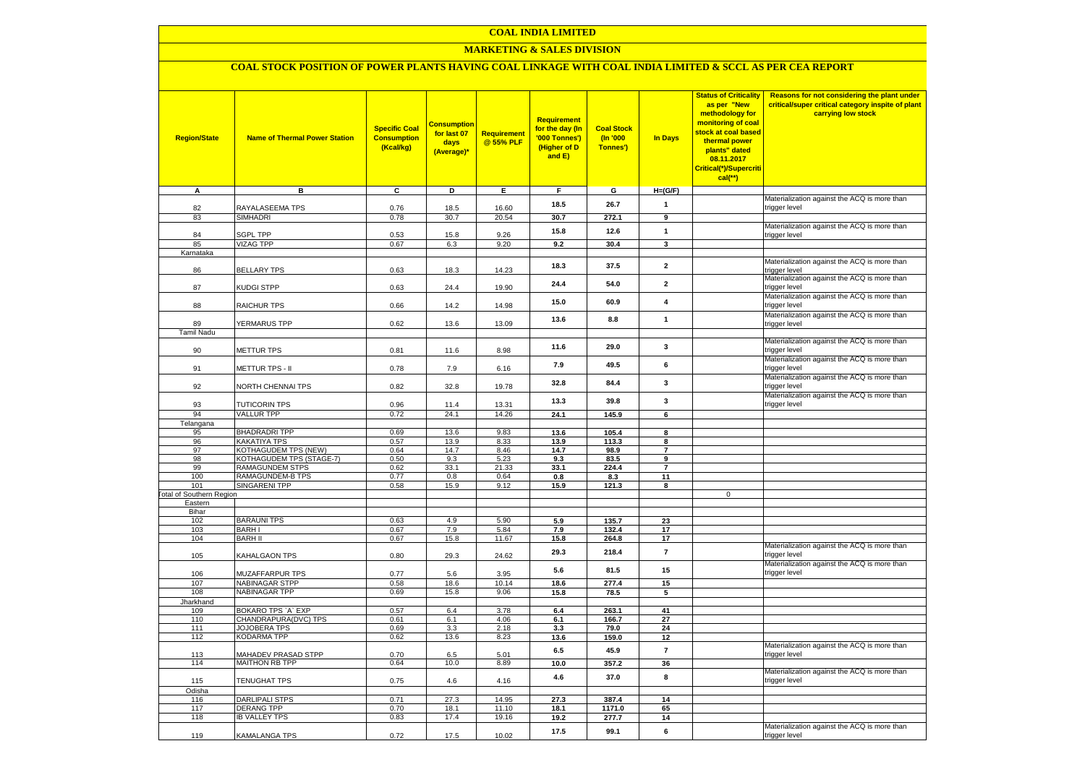### **MARKETING & SALES DIVISION**

# **COAL STOCK POSITION OF POWER PLANTS HAVING COAL LINKAGE WITH COAL INDIA LIMITED & SCCL AS PER CEA REPORT**

| <b>Region/State</b>             | <b>Name of Thermal Power Station</b>              | <b>Specific Coal</b><br><b>Consumption</b><br>(Kcal/kg) | <b>Consumption</b><br>for last 07<br>days<br>(Average)* | Requirement<br>@ 55% PLF | <b>Requirement</b><br>for the day (In<br>'000 Tonnes')<br>(Higher of D<br>and E) | <b>Coal Stock</b><br>(In '000<br>Tonnes') | In Days                 | <b>Status of Criticality</b><br>as per "New<br>methodology for<br>monitoring of coal<br>stock at coal based<br>thermal power<br>plants" dated<br>08.11.2017<br>Critical(*)/Supercriti<br>$cal$ (**) | Reasons for not considering the plant under<br>critical/super critical category inspite of plant<br>carrying low stock |
|---------------------------------|---------------------------------------------------|---------------------------------------------------------|---------------------------------------------------------|--------------------------|----------------------------------------------------------------------------------|-------------------------------------------|-------------------------|-----------------------------------------------------------------------------------------------------------------------------------------------------------------------------------------------------|------------------------------------------------------------------------------------------------------------------------|
| Α                               | в                                                 | c                                                       | Þ                                                       | Ε                        | F                                                                                | G                                         | $H=(G/F)$               |                                                                                                                                                                                                     | Materialization against the ACQ is more than                                                                           |
| 82                              | RAYALASEEMA TPS                                   | 0.76                                                    | 18.5                                                    | 16.60                    | 18.5                                                                             | 26.7                                      | $\mathbf{1}$            |                                                                                                                                                                                                     | trigger level                                                                                                          |
| 83                              | <b>SIMHADRI</b>                                   | 0.78                                                    | 30.7                                                    | 20.54                    | 30.7                                                                             | 272.1                                     | 9                       |                                                                                                                                                                                                     |                                                                                                                        |
| 84                              | SGPL TPP                                          | 0.53                                                    | 15.8                                                    | 9.26                     | 15.8                                                                             | 12.6                                      | $\mathbf{1}$            |                                                                                                                                                                                                     | Materialization against the ACQ is more than<br>trigger level                                                          |
| 85                              | <b>VIZAG TPP</b>                                  | 0.67                                                    | 6.3                                                     | 9.20                     | 9.2                                                                              | 30.4                                      | 3                       |                                                                                                                                                                                                     |                                                                                                                        |
| Karnataka                       |                                                   |                                                         |                                                         |                          |                                                                                  |                                           |                         |                                                                                                                                                                                                     | Materialization against the ACQ is more than                                                                           |
| 86                              | <b>BELLARY TPS</b>                                | 0.63                                                    | 18.3                                                    | 14.23                    | 18.3                                                                             | 37.5                                      | $\mathbf{2}$            |                                                                                                                                                                                                     | trigger level                                                                                                          |
| 87                              | KUDGI STPP                                        | 0.63                                                    | 24.4                                                    | 19.90                    | 24.4                                                                             | 54.0                                      | $\overline{2}$          |                                                                                                                                                                                                     | Materialization against the ACQ is more than<br>trigger level                                                          |
| 88                              | RAICHUR TPS                                       | 0.66                                                    | 14.2                                                    | 14.98                    | 15.0                                                                             | 60.9                                      | $\overline{\mathbf{4}}$ |                                                                                                                                                                                                     | Materialization against the ACQ is more than<br>trigger level                                                          |
| 89                              | <b>YERMARUS TPP</b>                               | 0.62                                                    | 13.6                                                    | 13.09                    | 13.6                                                                             | 8.8                                       | $\mathbf{1}$            |                                                                                                                                                                                                     | Materialization against the ACQ is more than                                                                           |
| <b>Tamil Nadu</b>               |                                                   |                                                         |                                                         |                          |                                                                                  |                                           |                         |                                                                                                                                                                                                     | trigger level                                                                                                          |
| 90                              | <b>METTUR TPS</b>                                 | 0.81                                                    | 11.6                                                    | 8.98                     | 11.6                                                                             | 29.0                                      | 3                       |                                                                                                                                                                                                     | Materialization against the ACQ is more than<br>trigger level                                                          |
|                                 |                                                   |                                                         |                                                         |                          | 7.9                                                                              | 49.5                                      | 6                       |                                                                                                                                                                                                     | Materialization against the ACQ is more than                                                                           |
| 91                              | METTUR TPS - II                                   | 0.78                                                    | 7.9                                                     | 6.16                     | 32.8                                                                             | 84.4                                      | 3                       |                                                                                                                                                                                                     | trigger level<br>Materialization against the ACQ is more than                                                          |
| 92                              | NORTH CHENNAI TPS                                 | 0.82                                                    | 32.8                                                    | 19.78                    |                                                                                  |                                           |                         |                                                                                                                                                                                                     | trigger level<br>Materialization against the ACQ is more than                                                          |
| 93<br>94                        | <b>TUTICORIN TPS</b><br><b>VALLUR TPP</b>         | 0.96<br>0.72                                            | 11.4<br>24.1                                            | 13.31<br>14.26           | 13.3                                                                             | 39.8                                      | 3                       |                                                                                                                                                                                                     | trigger level                                                                                                          |
| Telangana                       |                                                   |                                                         |                                                         |                          | 24.1                                                                             | 145.9                                     | 6                       |                                                                                                                                                                                                     |                                                                                                                        |
| 95                              | <b>BHADRADRI TPP</b>                              | 0.69                                                    | 13.6                                                    | 9.83                     | 13.6                                                                             | 105.4                                     | 8                       |                                                                                                                                                                                                     |                                                                                                                        |
| 96                              | KAKATIYA TPS                                      | 0.57                                                    | 13.9                                                    | 8.33                     | 13.9                                                                             | 113.3                                     | 8                       |                                                                                                                                                                                                     |                                                                                                                        |
| 97                              | KOTHAGUDEM TPS (NEW)                              | 0.64                                                    | 14.7                                                    | 8.46                     | 14.7                                                                             | 98.9                                      | $\overline{7}$          |                                                                                                                                                                                                     |                                                                                                                        |
| 98                              | KOTHAGUDEM TPS (STAGE-7)                          | 0.50                                                    | 9.3                                                     | 5.23                     | 9.3                                                                              | 83.5                                      | 9                       |                                                                                                                                                                                                     |                                                                                                                        |
| 99<br>100                       | <b>RAMAGUNDEM STPS</b><br><b>RAMAGUNDEM-B TPS</b> | 0.62<br>0.77                                            | 33.1<br>0.8                                             | 21.33<br>0.64            | 33.1                                                                             | 224.4                                     | $\overline{7}$<br>11    |                                                                                                                                                                                                     |                                                                                                                        |
| 101                             | <b>SINGARENI TPP</b>                              | 0.58                                                    | 15.9                                                    | 9.12                     | 0.8<br>15.9                                                                      | 8.3<br>121.3                              | 8                       |                                                                                                                                                                                                     |                                                                                                                        |
| <b>Total of Southern Region</b> |                                                   |                                                         |                                                         |                          |                                                                                  |                                           |                         | $\mathbf 0$                                                                                                                                                                                         |                                                                                                                        |
| Eastern                         |                                                   |                                                         |                                                         |                          |                                                                                  |                                           |                         |                                                                                                                                                                                                     |                                                                                                                        |
| Bihar                           |                                                   |                                                         |                                                         |                          |                                                                                  |                                           |                         |                                                                                                                                                                                                     |                                                                                                                        |
| 102                             | <b>BARAUNI TPS</b>                                | 0.63                                                    | 4.9                                                     | 5.90                     | 5.9                                                                              | 135.7                                     | 23                      |                                                                                                                                                                                                     |                                                                                                                        |
| 103                             | <b>BARHI</b>                                      | 0.67                                                    | 7.9                                                     | 5.84                     | 7.9                                                                              | 132.4                                     | 17                      |                                                                                                                                                                                                     |                                                                                                                        |
| 104                             | <b>BARH II</b>                                    | 0.67                                                    | 15.8                                                    | 11.67                    | 15.8                                                                             | 264.8                                     | 17                      |                                                                                                                                                                                                     | Materialization against the ACQ is more than                                                                           |
| 105                             | KAHALGAON TPS                                     | 0.80                                                    | 29.3                                                    | 24.62                    | 29.3                                                                             | 218.4                                     | $\overline{7}$          |                                                                                                                                                                                                     | trigger level                                                                                                          |
| 106                             | MUZAFFARPUR TPS                                   | 0.77                                                    | 5.6                                                     | 3.95                     | 5.6                                                                              | 81.5                                      | 15                      |                                                                                                                                                                                                     | Materialization against the ACQ is more than<br>trigger level                                                          |
| 107                             | <b>NABINAGAR STPP</b>                             | 0.58                                                    | 18.6                                                    | 10.14                    | 18.6                                                                             | 277.4                                     | 15                      |                                                                                                                                                                                                     |                                                                                                                        |
| 108                             | <b>NABINAGAR TPP</b>                              | 0.69                                                    | 15.8                                                    | 9.06                     | 15.8                                                                             | 78.5                                      | 5                       |                                                                                                                                                                                                     |                                                                                                                        |
| Jharkhand                       |                                                   |                                                         |                                                         |                          |                                                                                  |                                           | 41                      |                                                                                                                                                                                                     |                                                                                                                        |
| 109<br>110                      | BOKARO TPS `A` EXP<br>CHANDRAPURA(DVC) TPS        | 0.57<br>0.61                                            | 6.4<br>6.1                                              | 3.78<br>4.06             | 6.4<br>6.1                                                                       | 263.1<br>166.7                            | 27                      |                                                                                                                                                                                                     |                                                                                                                        |
| 111                             | JOJOBERA TPS                                      | 0.69                                                    | 3.3                                                     | 2.18                     | 3.3                                                                              | 79.0                                      | 24                      |                                                                                                                                                                                                     |                                                                                                                        |
| 112                             | KODARMA TPP                                       | 0.62                                                    | 13.6                                                    | 8.23                     | 13.6                                                                             | 159.0                                     | 12                      |                                                                                                                                                                                                     |                                                                                                                        |
| 113                             | <b>MAHADEV PRASAD STPP</b>                        | 0.70                                                    | 6.5                                                     | 5.01                     | 6.5                                                                              | 45.9                                      | $\overline{7}$          |                                                                                                                                                                                                     | Materialization against the ACQ is more than<br>trigger level                                                          |
| 114                             | <b>MAITHON RB TPP</b>                             | 0.64                                                    | 10.0                                                    | 8.89                     | 10.0                                                                             | 357.2                                     | 36                      |                                                                                                                                                                                                     |                                                                                                                        |
| 115                             | TENUGHAT TPS                                      | 0.75                                                    | 4.6                                                     | 4.16                     | 4.6                                                                              | 37.0                                      | 8                       |                                                                                                                                                                                                     | Materialization against the ACQ is more than<br>trigger level                                                          |
| Odisha                          |                                                   |                                                         |                                                         |                          |                                                                                  |                                           |                         |                                                                                                                                                                                                     |                                                                                                                        |
| 116                             | <b>DARLIPALI STPS</b>                             | 0.71                                                    | 27.3                                                    | 14.95                    | 27.3                                                                             | 387.4                                     | 14                      |                                                                                                                                                                                                     |                                                                                                                        |
| 117                             | <b>DERANG TPP</b>                                 | 0.70                                                    | 18.1                                                    | 11.10                    | 18.1                                                                             | 1171.0                                    | 65                      |                                                                                                                                                                                                     |                                                                                                                        |
| 118                             | <b>IB VALLEY TPS</b>                              | 0.83                                                    | 17.4                                                    | 19.16                    | 19.2                                                                             | 277.7                                     | 14                      |                                                                                                                                                                                                     |                                                                                                                        |
| 119                             | KAMALANGA TPS                                     | 0.72                                                    | 17.5                                                    | 10.02                    | 17.5                                                                             | 99.1                                      | 6                       |                                                                                                                                                                                                     | Materialization against the ACQ is more than<br>trigger level                                                          |